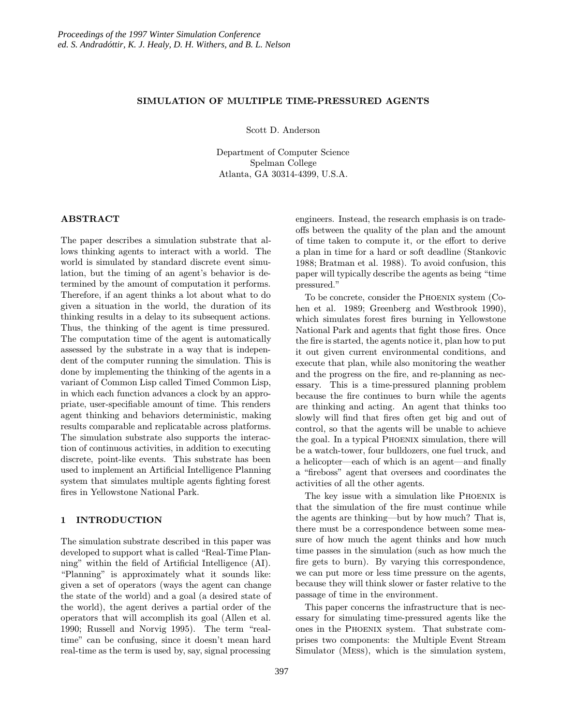# SIMULATION OF MULTIPLE TIME-PRESSURED AGENTS

Scott D. Anderson

Department of Computer Science Spelman College Atlanta, GA 30314-4399, U.S.A.

### ABSTRACT

The paper describes a simulation substrate that allows thinking agents to interact with a world. The world is simulated by standard discrete event simulation, but the timing of an agent's behavior is determined by the amount of computation it performs. Therefore, if an agent thinks a lot about what to do given a situation in the world, the duration of its thinking results in a delay to its subsequent actions. Thus, the thinking of the agent is time pressured. The computation time of the agent is automatically assessed by the substrate in a way that is independent of the computer running the simulation. This is done by implementing the thinking of the agents in a variant of Common Lisp called Timed Common Lisp, in which each function advances a clock by an appropriate, user-specifiable amount of time. This renders agent thinking and behaviors deterministic, making results comparable and replicatable across platforms. The simulation substrate also supports the interaction of continuous activities, in addition to executing discrete, point-like events. This substrate has been used to implement an Artificial Intelligence Planning system that simulates multiple agents fighting forest fires in Yellowstone National Park.

## 1 INTRODUCTION

The simulation substrate described in this paper was developed to support what is called "Real-Time Planning" within the field of Artificial Intelligence (AI). "Planning" is approximately what it sounds like: given a set of operators (ways the agent can change the state of the world) and a goal (a desired state of the world), the agent derives a partial order of the operators that will accomplish its goal (Allen et al. 1990; Russell and Norvig 1995). The term "realtime" can be confusing, since it doesn't mean hard real-time as the term is used by, say, signal processing engineers. Instead, the research emphasis is on tradeoffs between the quality of the plan and the amount of time taken to compute it, or the effort to derive a plan in time for a hard or soft deadline (Stankovic 1988; Bratman et al. 1988). To avoid confusion, this paper will typically describe the agents as being "time pressured."

To be concrete, consider the Phoenix system (Cohen et al. 1989; Greenberg and Westbrook 1990), which simulates forest fires burning in Yellowstone National Park and agents that fight those fires. Once the fire is started, the agents notice it, plan how to put it out given current environmental conditions, and execute that plan, while also monitoring the weather and the progress on the fire, and re-planning as necessary. This is a time-pressured planning problem because the fire continues to burn while the agents are thinking and acting. An agent that thinks too slowly will find that fires often get big and out of control, so that the agents will be unable to achieve the goal. In a typical Phoenix simulation, there will be a watch-tower, four bulldozers, one fuel truck, and a helicopter—each of which is an agent—and finally a "fireboss" agent that oversees and coordinates the activities of all the other agents.

The key issue with a simulation like Phoenix is that the simulation of the fire must continue while the agents are thinking—but by how much? That is, there must be a correspondence between some measure of how much the agent thinks and how much time passes in the simulation (such as how much the fire gets to burn). By varying this correspondence, we can put more or less time pressure on the agents, because they will think slower or faster relative to the passage of time in the environment.

This paper concerns the infrastructure that is necessary for simulating time-pressured agents like the ones in the Phoenix system. That substrate comprises two components: the Multiple Event Stream Simulator (Mess), which is the simulation system,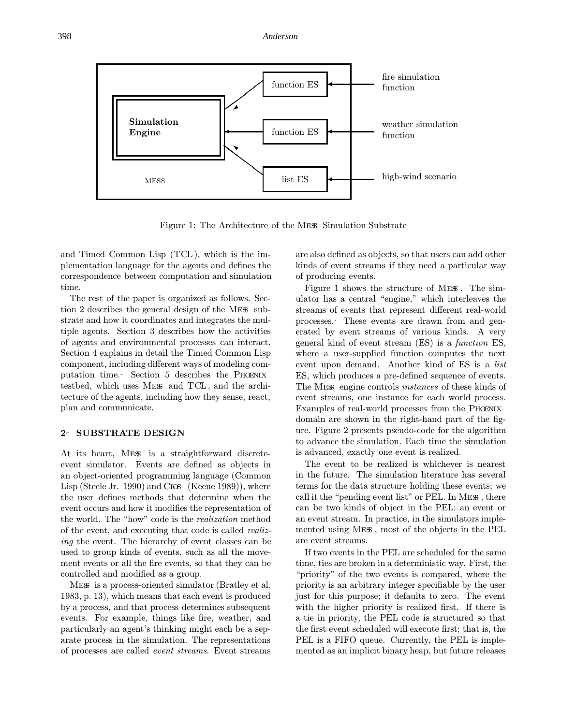

Figure 1: The Architecture of the Mess Simulation Substrate

and Timed Common Lisp (TCL), which is the implementation language for the agents and defines the correspondence between computation and simulation time.

The rest of the paper is organized as follows. Section 2 describes the general design of the Mess substrate and how it coordinates and integrates the multiple agents. Section 3 describes how the activities of agents and environmental processes can interact. Section 4 explains in detail the Timed Common Lisp component, including different ways of modeling computation time. Section 5 describes the Phoenix testbed, which uses Mess and TCL, and the architecture of the agents, including how they sense, react, plan and communicate.

# 2- SUBSTRATE DESIGN

At its heart, MES is a straightforward discreteevent simulator. Events are defined as objects in an object-oriented programming language (Common Lisp (Steele Jr. 1990) and Clos (Keene 1989)), where the user defines methods that determine when the event occurs and how it modifies the representation of the world. The "how" code is the realization method of the event, and executing that code is called realizing the event. The hierarchy of event classes can be used to group kinds of events, such as all the movement events or all the fire events, so that they can be controlled and modified as a group.

Mess is a process-oriented simulator (Bratley et al. 1983, p. 13), which means that each event is produced by a process, and that process determines subsequent events. For example, things like fire, weather, and particularly an agent's thinking might each be a separate process in the simulation. The representations of processes are called event streams. Event streams are also defined as objects, so that users can add other kinds of event streams if they need a particular way of producing events.

Figure 1 shows the structure of Mess . The simulator has a central "engine," which interleaves the streams of events that represent different real-world processes. These events are drawn from and generated by event streams of various kinds. A very general kind of event stream (ES) is a function ES, where a user-supplied function computes the next event upon demand. Another kind of ES is a *list* ES, which produces a pre-defined sequence of events. The Mess engine controls instances of these kinds of event streams, one instance for each world process. Examples of real-world processes from the Phoenix domain are shown in the right-hand part of the figure. Figure 2 presents pseudo-code for the algorithm to advance the simulation. Each time the simulation is advanced, exactly one event is realized.

The event to be realized is whichever is nearest in the future. The simulation literature has several terms for the data structure holding these events; we call it the "pending event list" or PEL. In Mess , there can be two kinds of object in the PEL: an event or an event stream. In practice, in the simulators implemented using Mess , most of the objects in the PEL are event streams.

If two events in the PEL are scheduled for the same time, ties are broken in a deterministic way. First, the "priority" of the two events is compared, where the priority is an arbitrary integer specifiable by the user just for this purpose; it defaults to zero. The event with the higher priority is realized first. If there is a tie in priority, the PEL code is structured so that the first event scheduled will execute first; that is, the PEL is a FIFO queue. Currently, the PEL is implemented as an implicit binary heap, but future releases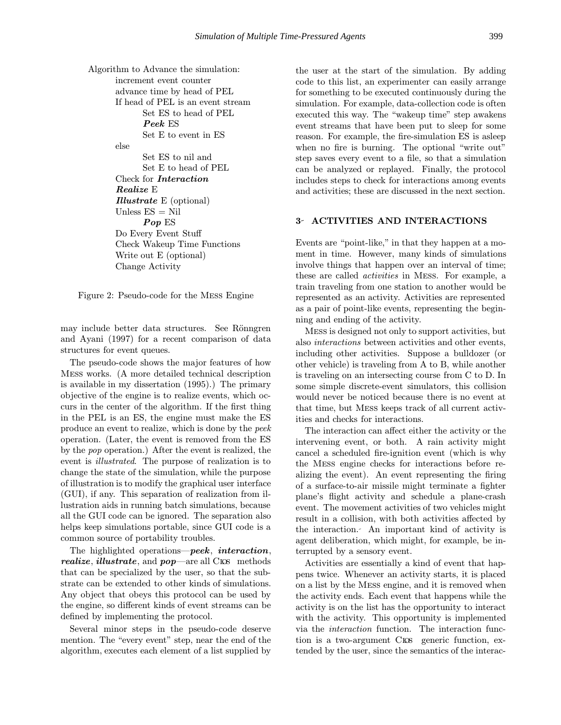| Algorithm to Advance the simulation: |
|--------------------------------------|
| increment event counter              |
| advance time by head of PEL          |
| If head of PEL is an event stream    |
| Set ES to head of PEL                |
| Peek ES                              |
| Set E to event in ES                 |
| else                                 |
| Set ES to nil and                    |
| Set E to head of PEL                 |
| Check for <i>Interaction</i>         |
| Realize E                            |
| <i>Illustrate</i> E (optional)       |
| Unless $ES = Nil$                    |
| Pop ES                               |
| Do Every Event Stuff                 |
| Check Wakeup Time Functions          |
| Write out E (optional)               |
| Change Activity                      |
|                                      |

Figure 2: Pseudo-code for the Mess Engine

may include better data structures. See Rönngren and Ayani (1997) for a recent comparison of data structures for event queues.

The pseudo-code shows the major features of how Mess works. (A more detailed technical description is available in my dissertation (1995).) The primary objective of the engine is to realize events, which occurs in the center of the algorithm. If the first thing in the PEL is an ES, the engine must make the ES produce an event to realize, which is done by the peek operation. (Later, the event is removed from the ES by the pop operation.) After the event is realized, the event is illustrated. The purpose of realization is to change the state of the simulation, while the purpose of illustration is to modify the graphical user interface (GUI), if any. This separation of realization from illustration aids in running batch simulations, because all the GUI code can be ignored. The separation also helps keep simulations portable, since GUI code is a common source of portability troubles.

The highlighted operations—peek, interaction, realize, illustrate, and pop—are all CLOS methods that can be specialized by the user, so that the substrate can be extended to other kinds of simulations. Any object that obeys this protocol can be used by the engine, so different kinds of event streams can be defined by implementing the protocol.

Several minor steps in the pseudo-code deserve mention. The "every event" step, near the end of the algorithm, executes each element of a list supplied by the user at the start of the simulation. By adding code to this list, an experimenter can easily arrange for something to be executed continuously during the simulation. For example, data-collection code is often executed this way. The "wakeup time" step awakens event streams that have been put to sleep for some reason. For example, the fire-simulation ES is asleep when no fire is burning. The optional "write out" step saves every event to a file, so that a simulation can be analyzed or replayed. Finally, the protocol includes steps to check for interactions among events and activities; these are discussed in the next section.

### 3- ACTIVITIES AND INTERACTIONS

Events are "point-like," in that they happen at a moment in time. However, many kinds of simulations involve things that happen over an interval of time; these are called activities in Mess. For example, a train traveling from one station to another would be represented as an activity. Activities are represented as a pair of point-like events, representing the beginning and ending of the activity.

Mess is designed not only to support activities, but also interactions between activities and other events, including other activities. Suppose a bulldozer (or other vehicle) is traveling from A to B, while another is traveling on an intersecting course from C to D. In some simple discrete-event simulators, this collision would never be noticed because there is no event at that time, but Mess keeps track of all current activities and checks for interactions.

The interaction can affect either the activity or the intervening event, or both. A rain activity might cancel a scheduled fire-ignition event (which is why the Mess engine checks for interactions before realizing the event). An event representing the firing of a surface-to-air missile might terminate a fighter plane's flight activity and schedule a plane-crash event. The movement activities of two vehicles might result in a collision, with both activities affected by the interaction. An important kind of activity is agent deliberation, which might, for example, be interrupted by a sensory event.

Activities are essentially a kind of event that happens twice. Whenever an activity starts, it is placed on a list by the Mess engine, and it is removed when the activity ends. Each event that happens while the activity is on the list has the opportunity to interact with the activity. This opportunity is implemented via the interaction function. The interaction function is a two-argument Clos generic function, extended by the user, since the semantics of the interac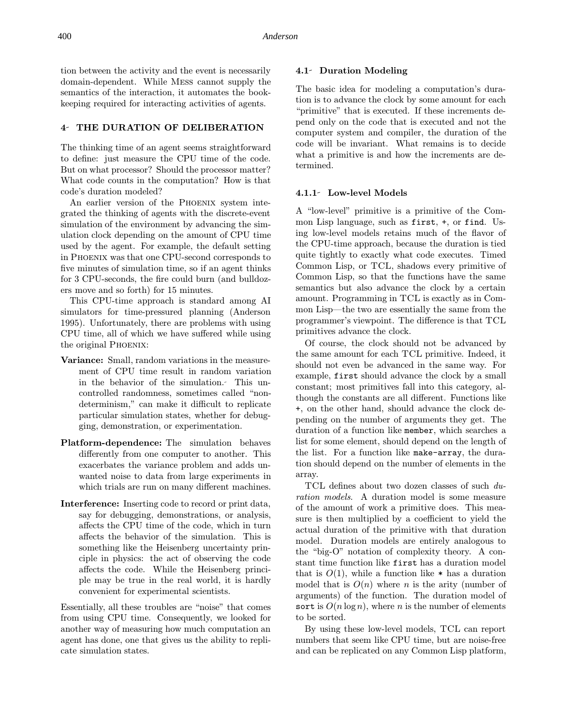tion between the activity and the event is necessarily domain-dependent. While Mess cannot supply the semantics of the interaction, it automates the bookkeeping required for interacting activities of agents.

### 4 THE DURATION OF DELIBERATION

The thinking time of an agent seems straightforward to define: just measure the CPU time of the code. But on what processor? Should the processor matter? What code counts in the computation? How is that code's duration modeled?

An earlier version of the PHOENIX system integrated the thinking of agents with the discrete-event simulation of the environment by advancing the simulation clock depending on the amount of CPU time used by the agent. For example, the default setting in Phoenix was that one CPU-second corresponds to five minutes of simulation time, so if an agent thinks for 3 CPU-seconds, the fire could burn (and bulldozers move and so forth) for 15 minutes.

This CPU-time approach is standard among AI simulators for time-pressured planning (Anderson 1995). Unfortunately, there are problems with using CPU time, all of which we have suffered while using the original Phoenix:

- Variance: Small, random variations in the measurement of CPU time result in random variation in the behavior of the simulation. This uncontrolled randomness, sometimes called "nondeterminism," can make it difficult to replicate particular simulation states, whether for debugging, demonstration, or experimentation.
- Platform-dependence: The simulation behaves differently from one computer to another. This exacerbates the variance problem and adds unwanted noise to data from large experiments in which trials are run on many different machines.
- Interference: Inserting code to record or print data, say for debugging, demonstrations, or analysis, affects the CPU time of the code, which in turn affects the behavior of the simulation. This is something like the Heisenberg uncertainty principle in physics: the act of observing the code affects the code. While the Heisenberg principle may be true in the real world, it is hardly convenient for experimental scientists.

Essentially, all these troubles are "noise" that comes from using CPU time. Consequently, we looked for another way of measuring how much computation an agent has done, one that gives us the ability to replicate simulation states.

### 4.1 Duration Modeling

The basic idea for modeling a computation's duration is to advance the clock by some amount for each "primitive" that is executed. If these increments depend only on the code that is executed and not the computer system and compiler, the duration of the code will be invariant. What remains is to decide what a primitive is and how the increments are determined.

#### 4.1.1- Low-level Models

A "low-level" primitive is a primitive of the Common Lisp language, such as first, +, or find. Using low-level models retains much of the flavor of the CPU-time approach, because the duration is tied quite tightly to exactly what code executes. Timed Common Lisp, or TCL, shadows every primitive of Common Lisp, so that the functions have the same semantics but also advance the clock by a certain amount. Programming in TCL is exactly as in Common Lisp—the two are essentially the same from the programmer's viewpoint. The difference is that TCL primitives advance the clock.

Of course, the clock should not be advanced by the same amount for each TCL primitive. Indeed, it should not even be advanced in the same way. For example, first should advance the clock by a small constant; most primitives fall into this category, although the constants are all different. Functions like +, on the other hand, should advance the clock depending on the number of arguments they get. The duration of a function like member, which searches a list for some element, should depend on the length of the list. For a function like make-array, the duration should depend on the number of elements in the array.

TCL defines about two dozen classes of such duration models. A duration model is some measure of the amount of work a primitive does. This measure is then multiplied by a coefficient to yield the actual duration of the primitive with that duration model. Duration models are entirely analogous to the "big-O" notation of complexity theory. A constant time function like first has a duration model that is  $O(1)$ , while a function like  $*$  has a duration model that is  $O(n)$  where n is the arity (number of arguments) of the function. The duration model of sort is  $O(n \log n)$ , where *n* is the number of elements to be sorted.

By using these low-level models, TCL can report numbers that seem like CPU time, but are noise-free and can be replicated on any Common Lisp platform,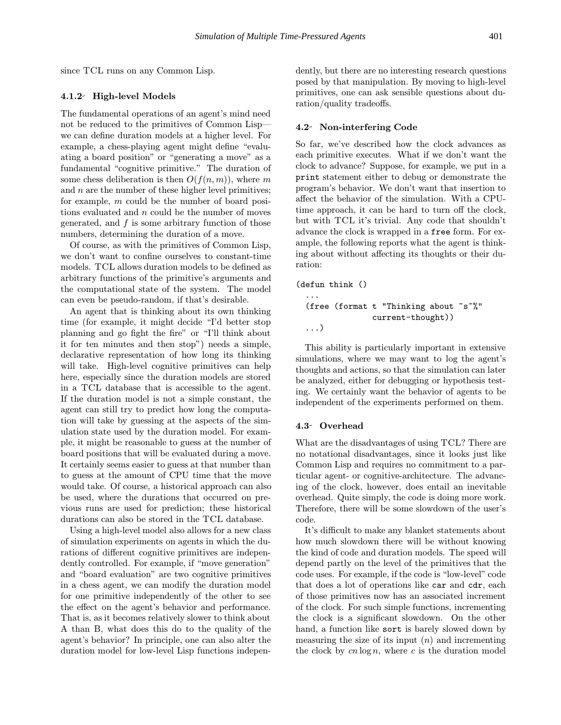since TCL runs on any Common Lisp.

### 4.1.2 High-level Models

The fundamental operations of an agent's mind need not be reduced to the primitives of Common Lisp we can define duration models at a higher level. For example, a chess-playing agent might define "evaluating a board position" or "generating a move" as a fundamental "cognitive primitive." The duration of some chess deliberation is then  $O(f(n, m))$ , where m and  $n$  are the number of these higher level primitives; for example, m could be the number of board positions evaluated and  $n$  could be the number of moves generated, and f is some arbitrary function of those numbers, determining the duration of a move.

Of course, as with the primitives of Common Lisp, we don't want to confine ourselves to constant-time models. TCL allows duration models to be defined as arbitrary functions of the primitive's arguments and the computational state of the system. The model can even be pseudo-random, if that's desirable.

An agent that is thinking about its own thinking time (for example, it might decide "I'd better stop planning and go fight the fire" or "I'll think about it for ten minutes and then stop") needs a simple, declarative representation of how long its thinking will take. High-level cognitive primitives can help here, especially since the duration models are stored in a TCL database that is accessible to the agent. If the duration model is not a simple constant, the agent can still try to predict how long the computation will take by guessing at the aspects of the simulation state used by the duration model. For example, it might be reasonable to guess at the number of board positions that will be evaluated during a move. It certainly seems easier to guess at that number than to guess at the amount of CPU time that the move would take. Of course, a historical approach can also be used, where the durations that occurred on previous runs are used for prediction; these historical durations can also be stored in the TCL database.

Using a high-level model also allows for a new class of simulation experiments on agents in which the durations of different cognitive primitives are independently controlled. For example, if "move generation" and "board evaluation" are two cognitive primitives in a chess agent, we can modify the duration model for one primitive independently of the other to see the effect on the agent's behavior and performance. That is, as it becomes relatively slower to think about A than B, what does this do to the quality of the agent's behavior? In principle, one can also alter the duration model for low-level Lisp functions independently, but there are no interesting research questions posed by that manipulation. By moving to high-level primitives, one can ask sensible questions about duration/quality tradeoffs.

### 4.2 Non-interfering Code

So far, we've described how the clock advances as each primitive executes. What if we don't want the clock to advance? Suppose, for example, we put in a print statement either to debug or demonstrate the program's behavior. We don't want that insertion to affect the behavior of the simulation. With a CPUtime approach, it can be hard to turn off the clock, but with TCL it's trivial. Any code that shouldn't advance the clock is wrapped in a free form. For example, the following reports what the agent is thinking about without affecting its thoughts or their duration:

```
(defun think ()
```

```
...
(free (format t "Thinking about \tilde{s}""
                current-thought))
...)
```
This ability is particularly important in extensive simulations, where we may want to log the agent's thoughts and actions, so that the simulation can later be analyzed, either for debugging or hypothesis testing. We certainly want the behavior of agents to be independent of the experiments performed on them.

### 4.3- Overhead

What are the disadvantages of using TCL? There are no notational disadvantages, since it looks just like Common Lisp and requires no commitment to a particular agent- or cognitive-architecture. The advancing of the clock, however, does entail an inevitable overhead. Quite simply, the code is doing more work. Therefore, there will be some slowdown of the user's code.

It's difficult to make any blanket statements about how much slowdown there will be without knowing the kind of code and duration models. The speed will depend partly on the level of the primitives that the code uses. For example, if the code is "low-level" code that does a lot of operations like car and cdr, each of those primitives now has an associated increment of the clock. For such simple functions, incrementing the clock is a significant slowdown. On the other hand, a function like sort is barely slowed down by measuring the size of its input  $(n)$  and incrementing the clock by  $cn \log n$ , where  $c$  is the duration model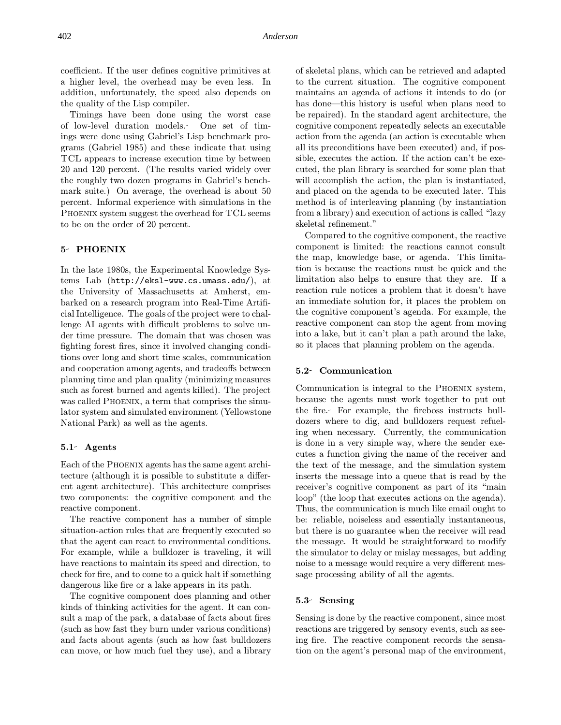coefficient. If the user defines cognitive primitives at a higher level, the overhead may be even less. In addition, unfortunately, the speed also depends on the quality of the Lisp compiler.

Timings have been done using the worst case of low-level duration models. One set of timings were done using Gabriel's Lisp benchmark programs (Gabriel 1985) and these indicate that using TCL appears to increase execution time by between 20 and 120 percent. (The results varied widely over the roughly two dozen programs in Gabriel's benchmark suite.) On average, the overhead is about 50 percent. Informal experience with simulations in the PHOENIX system suggest the overhead for TCL seems to be on the order of 20 percent.

### 5- PHOENIX

In the late 1980s, the Experimental Knowledge Systems Lab (http://eksl-www.cs.umass.edu/), at the University of Massachusetts at Amherst, embarked on a research program into Real-Time Artificial Intelligence. The goals of the project were to challenge AI agents with difficult problems to solve under time pressure. The domain that was chosen was fighting forest fires, since it involved changing conditions over long and short time scales, communication and cooperation among agents, and tradeoffs between planning time and plan quality (minimizing measures such as forest burned and agents killed). The project was called PHOENIX, a term that comprises the simulator system and simulated environment (Yellowstone National Park) as well as the agents.

### 5.1- Agents

Each of the Phoenix agents has the same agent architecture (although it is possible to substitute a different agent architecture). This architecture comprises two components: the cognitive component and the reactive component.

The reactive component has a number of simple situation-action rules that are frequently executed so that the agent can react to environmental conditions. For example, while a bulldozer is traveling, it will have reactions to maintain its speed and direction, to check for fire, and to come to a quick halt if something dangerous like fire or a lake appears in its path.

The cognitive component does planning and other kinds of thinking activities for the agent. It can consult a map of the park, a database of facts about fires (such as how fast they burn under various conditions) and facts about agents (such as how fast bulldozers can move, or how much fuel they use), and a library of skeletal plans, which can be retrieved and adapted to the current situation. The cognitive component maintains an agenda of actions it intends to do (or has done—this history is useful when plans need to be repaired). In the standard agent architecture, the cognitive component repeatedly selects an executable action from the agenda (an action is executable when all its preconditions have been executed) and, if possible, executes the action. If the action can't be executed, the plan library is searched for some plan that will accomplish the action, the plan is instantiated, and placed on the agenda to be executed later. This method is of interleaving planning (by instantiation from a library) and execution of actions is called "lazy skeletal refinement."

Compared to the cognitive component, the reactive component is limited: the reactions cannot consult the map, knowledge base, or agenda. This limitation is because the reactions must be quick and the limitation also helps to ensure that they are. If a reaction rule notices a problem that it doesn't have an immediate solution for, it places the problem on the cognitive component's agenda. For example, the reactive component can stop the agent from moving into a lake, but it can't plan a path around the lake, so it places that planning problem on the agenda.

### 5.2 Communication

Communication is integral to the Phoenix system, because the agents must work together to put out the fire. For example, the fireboss instructs bulldozers where to dig, and bulldozers request refueling when necessary. Currently, the communication is done in a very simple way, where the sender executes a function giving the name of the receiver and the text of the message, and the simulation system inserts the message into a queue that is read by the receiver's cognitive component as part of its "main loop" (the loop that executes actions on the agenda). Thus, the communication is much like email ought to be: reliable, noiseless and essentially instantaneous, but there is no guarantee when the receiver will read the message. It would be straightforward to modify the simulator to delay or mislay messages, but adding noise to a message would require a very different message processing ability of all the agents.

#### 5.3 Sensing

Sensing is done by the reactive component, since most reactions are triggered by sensory events, such as seeing fire. The reactive component records the sensation on the agent's personal map of the environment,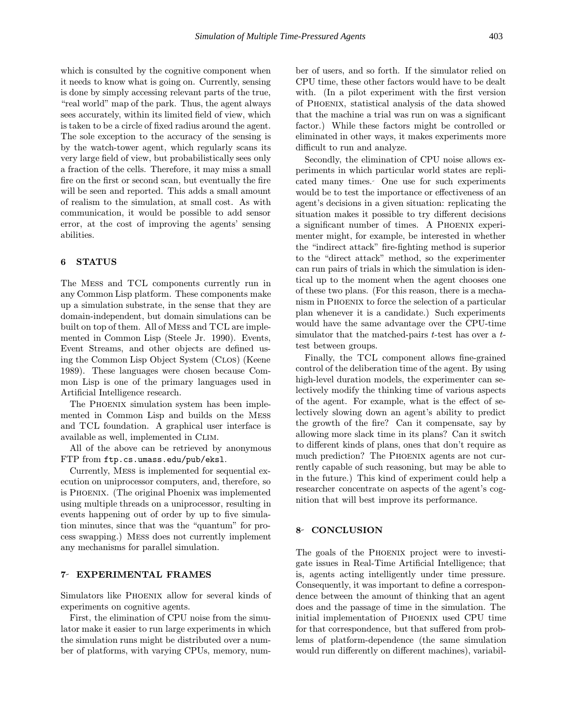which is consulted by the cognitive component when it needs to know what is going on. Currently, sensing is done by simply accessing relevant parts of the true, "real world" map of the park. Thus, the agent always sees accurately, within its limited field of view, which is taken to be a circle of fixed radius around the agent. The sole exception to the accuracy of the sensing is by the watch-tower agent, which regularly scans its very large field of view, but probabilistically sees only a fraction of the cells. Therefore, it may miss a small fire on the first or second scan, but eventually the fire will be seen and reported. This adds a small amount of realism to the simulation, at small cost. As with communication, it would be possible to add sensor error, at the cost of improving the agents' sensing abilities.

# 6 STATUS

The Mess and TCL components currently run in any Common Lisp platform. These components make up a simulation substrate, in the sense that they are domain-independent, but domain simulations can be built on top of them. All of Mess and TCL are implemented in Common Lisp (Steele Jr. 1990). Events, Event Streams, and other objects are defined using the Common Lisp Object System (Clos) (Keene 1989). These languages were chosen because Common Lisp is one of the primary languages used in Artificial Intelligence research.

The PHOENIX simulation system has been implemented in Common Lisp and builds on the Mess and TCL foundation. A graphical user interface is available as well, implemented in Clim.

All of the above can be retrieved by anonymous FTP from ftp.cs.umass.edu/pub/eksl.

Currently, Mess is implemented for sequential execution on uniprocessor computers, and, therefore, so is Phoenix. (The original Phoenix was implemented using multiple threads on a uniprocessor, resulting in events happening out of order by up to five simulation minutes, since that was the "quantum" for process swapping.) Mess does not currently implement any mechanisms for parallel simulation.

## 7- EXPERIMENTAL FRAMES

Simulators like Phoenix allow for several kinds of experiments on cognitive agents.

First, the elimination of CPU noise from the simulator make it easier to run large experiments in which the simulation runs might be distributed over a number of platforms, with varying CPUs, memory, number of users, and so forth. If the simulator relied on CPU time, these other factors would have to be dealt with. (In a pilot experiment with the first version of Phoenix, statistical analysis of the data showed that the machine a trial was run on was a significant factor.) While these factors might be controlled or eliminated in other ways, it makes experiments more difficult to run and analyze.

Secondly, the elimination of CPU noise allows experiments in which particular world states are replicated many times. One use for such experiments would be to test the importance or effectiveness of an agent's decisions in a given situation: replicating the situation makes it possible to try different decisions a significant number of times. A Phoenix experimenter might, for example, be interested in whether the "indirect attack" fire-fighting method is superior to the "direct attack" method, so the experimenter can run pairs of trials in which the simulation is identical up to the moment when the agent chooses one of these two plans. (For this reason, there is a mechanism in Phoenix to force the selection of a particular plan whenever it is a candidate.) Such experiments would have the same advantage over the CPU-time simulator that the matched-pairs  $t$ -test has over a  $t$ test between groups.

Finally, the TCL component allows fine-grained control of the deliberation time of the agent. By using high-level duration models, the experimenter can selectively modify the thinking time of various aspects of the agent. For example, what is the effect of selectively slowing down an agent's ability to predict the growth of the fire? Can it compensate, say by allowing more slack time in its plans? Can it switch to different kinds of plans, ones that don't require as much prediction? The PHOENIX agents are not currently capable of such reasoning, but may be able to in the future.) This kind of experiment could help a researcher concentrate on aspects of the agent's cognition that will best improve its performance.

### 8- CONCLUSION

The goals of the Phoenix project were to investigate issues in Real-Time Artificial Intelligence; that is, agents acting intelligently under time pressure. Consequently, it was important to define a correspondence between the amount of thinking that an agent does and the passage of time in the simulation. The initial implementation of Phoenix used CPU time for that correspondence, but that suffered from problems of platform-dependence (the same simulation would run differently on different machines), variabil